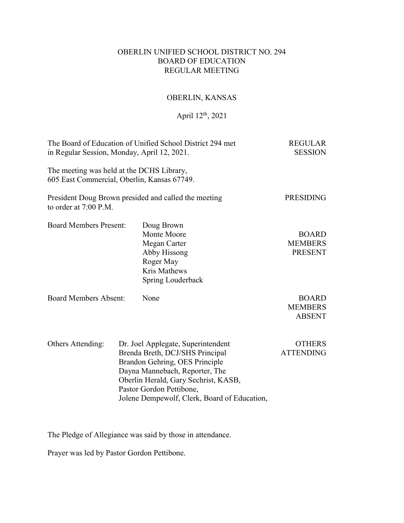# OBERLIN UNIFIED SCHOOL DISTRICT NO. 294 BOARD OF EDUCATION REGULAR MEETING

# OBERLIN, KANSAS

# April 12th, 2021

| The Board of Education of Unified School District 294 met<br>in Regular Session, Monday, April 12, 2021. | <b>REGULAR</b><br><b>SESSION</b>                                                                                                                                                                                                                              |                                                  |
|----------------------------------------------------------------------------------------------------------|---------------------------------------------------------------------------------------------------------------------------------------------------------------------------------------------------------------------------------------------------------------|--------------------------------------------------|
| The meeting was held at the DCHS Library,<br>605 East Commercial, Oberlin, Kansas 67749.                 |                                                                                                                                                                                                                                                               |                                                  |
| to order at 7:00 P.M.                                                                                    | President Doug Brown presided and called the meeting                                                                                                                                                                                                          | <b>PRESIDING</b>                                 |
| <b>Board Members Present:</b>                                                                            | Doug Brown<br>Monte Moore<br>Megan Carter<br>Abby Hissong<br>Roger May<br>Kris Mathews<br>Spring Louderback                                                                                                                                                   | <b>BOARD</b><br><b>MEMBERS</b><br><b>PRESENT</b> |
| <b>Board Members Absent:</b>                                                                             | None                                                                                                                                                                                                                                                          | <b>BOARD</b><br><b>MEMBERS</b><br><b>ABSENT</b>  |
| Others Attending:                                                                                        | Dr. Joel Applegate, Superintendent<br>Brenda Breth, DCJ/SHS Principal<br>Brandon Gehring, OES Principle<br>Dayna Mannebach, Reporter, The<br>Oberlin Herald, Gary Sechrist, KASB,<br>Pastor Gordon Pettibone,<br>Jolene Dempewolf, Clerk, Board of Education, | <b>OTHERS</b><br><b>ATTENDING</b>                |

The Pledge of Allegiance was said by those in attendance.

Prayer was led by Pastor Gordon Pettibone.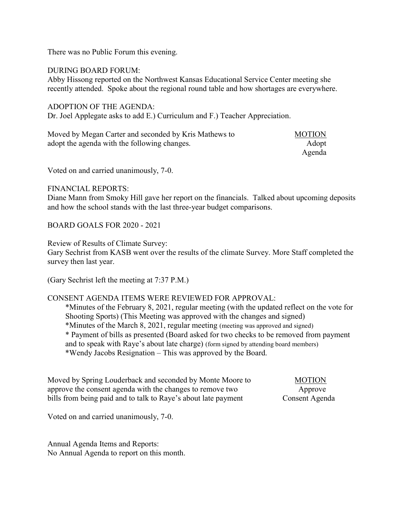There was no Public Forum this evening.

#### DURING BOARD FORUM:

Abby Hissong reported on the Northwest Kansas Educational Service Center meeting she recently attended. Spoke about the regional round table and how shortages are everywhere.

#### ADOPTION OF THE AGENDA:

Dr. Joel Applegate asks to add E.) Curriculum and F.) Teacher Appreciation.

| Moved by Megan Carter and seconded by Kris Mathews to | <b>MOTION</b> |
|-------------------------------------------------------|---------------|
| adopt the agenda with the following changes.          | Adopt         |
|                                                       | Agenda        |

Voted on and carried unanimously, 7-0.

#### FINANCIAL REPORTS:

Diane Mann from Smoky Hill gave her report on the financials. Talked about upcoming deposits and how the school stands with the last three-year budget comparisons.

BOARD GOALS FOR 2020 - 2021

Review of Results of Climate Survey:

Gary Sechrist from KASB went over the results of the climate Survey. More Staff completed the survey then last year.

(Gary Sechrist left the meeting at 7:37 P.M.)

## CONSENT AGENDA ITEMS WERE REVIEWED FOR APPROVAL:

\*Minutes of the February 8, 2021, regular meeting (with the updated reflect on the vote for Shooting Sports) (This Meeting was approved with the changes and signed) \*Minutes of the March 8, 2021, regular meeting (meeting was approved and signed) \* Payment of bills as presented (Board asked for two checks to be removed from payment and to speak with Raye's about late charge) (form signed by attending board members) \*Wendy Jacobs Resignation – This was approved by the Board.

Moved by Spring Louderback and seconded by Monte Moore to MOTION approve the consent agenda with the changes to remove two Approve bills from being paid and to talk to Raye's about late payment Consent Agenda

Voted on and carried unanimously, 7-0.

Annual Agenda Items and Reports: No Annual Agenda to report on this month.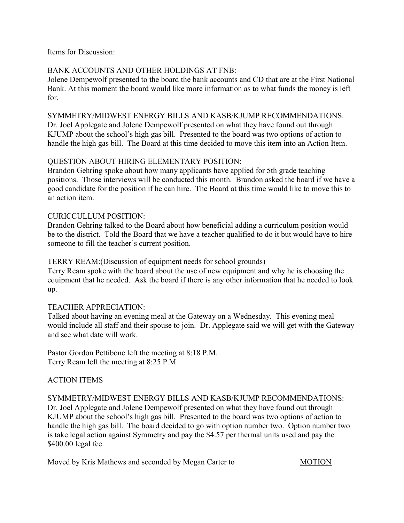Items for Discussion:

# BANK ACCOUNTS AND OTHER HOLDINGS AT FNB:

Jolene Dempewolf presented to the board the bank accounts and CD that are at the First National Bank. At this moment the board would like more information as to what funds the money is left for.

# SYMMETRY/MIDWEST ENERGY BILLS AND KASB/KJUMP RECOMMENDATIONS:

Dr. Joel Applegate and Jolene Dempewolf presented on what they have found out through KJUMP about the school's high gas bill. Presented to the board was two options of action to handle the high gas bill. The Board at this time decided to move this item into an Action Item.

# QUESTION ABOUT HIRING ELEMENTARY POSITION:

Brandon Gehring spoke about how many applicants have applied for 5th grade teaching positions. Those interviews will be conducted this month. Brandon asked the board if we have a good candidate for the position if he can hire. The Board at this time would like to move this to an action item.

# CURICCULLUM POSITION:

Brandon Gehring talked to the Board about how beneficial adding a curriculum position would be to the district. Told the Board that we have a teacher qualified to do it but would have to hire someone to fill the teacher's current position.

# TERRY REAM:(Discussion of equipment needs for school grounds)

Terry Ream spoke with the board about the use of new equipment and why he is choosing the equipment that he needed. Ask the board if there is any other information that he needed to look up.

## TEACHER APPRECIATION:

Talked about having an evening meal at the Gateway on a Wednesday. This evening meal would include all staff and their spouse to join. Dr. Applegate said we will get with the Gateway and see what date will work.

Pastor Gordon Pettibone left the meeting at 8:18 P.M. Terry Ream left the meeting at 8:25 P.M.

# ACTION ITEMS

SYMMETRY/MIDWEST ENERGY BILLS AND KASB/KJUMP RECOMMENDATIONS: Dr. Joel Applegate and Jolene Dempewolf presented on what they have found out through KJUMP about the school's high gas bill. Presented to the board was two options of action to handle the high gas bill. The board decided to go with option number two. Option number two is take legal action against Symmetry and pay the \$4.57 per thermal units used and pay the \$400.00 legal fee.

Moved by Kris Mathews and seconded by Megan Carter to MOTION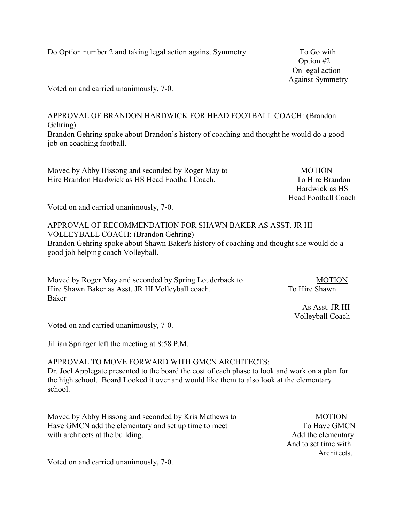Do Option number 2 and taking legal action against Symmetry To Go with

 Option #2 On legal action Against Symmetry

Voted on and carried unanimously, 7-0.

APPROVAL OF BRANDON HARDWICK FOR HEAD FOOTBALL COACH: (Brandon Gehring) Brandon Gehring spoke about Brandon's history of coaching and thought he would do a good job on coaching football.

Moved by Abby Hissong and seconded by Roger May to MOTION Hire Brandon Hardwick as HS Head Football Coach. To Hire Brandon

 Hardwick as HS Head Football Coach

Voted on and carried unanimously, 7-0.

APPROVAL OF RECOMMENDATION FOR SHAWN BAKER AS ASST. JR HI VOLLEYBALL COACH: (Brandon Gehring) Brandon Gehring spoke about Shawn Baker's history of coaching and thought she would do a good job helping coach Volleyball.

Moved by Roger May and seconded by Spring Louderback to MOTION Hire Shawn Baker as Asst. JR HI Volleyball coach. To Hire Shawn Baker

 As Asst. JR HI Volleyball Coach

Voted on and carried unanimously, 7-0.

Jillian Springer left the meeting at 8:58 P.M.

#### APPROVAL TO MOVE FORWARD WITH GMCN ARCHITECTS:

Dr. Joel Applegate presented to the board the cost of each phase to look and work on a plan for the high school. Board Looked it over and would like them to also look at the elementary school.

Moved by Abby Hissong and seconded by Kris Mathews to MOTION Have GMCN add the elementary and set up time to meet To Have GMCN with architects at the building. Add the elementary

 And to set time with Architects.

Voted on and carried unanimously, 7-0.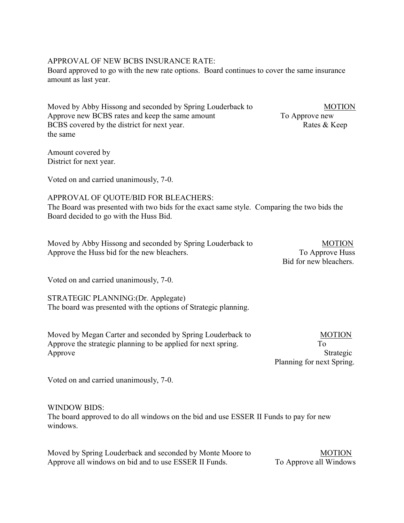## APPROVAL OF NEW BCBS INSURANCE RATE:

Board approved to go with the new rate options. Board continues to cover the same insurance amount as last year.

Moved by Abby Hissong and seconded by Spring Louderback to MOTION Approve new BCBS rates and keep the same amount To Approve new BCBS covered by the district for next year. Rates & Keep the same

Amount covered by District for next year.

Voted on and carried unanimously, 7-0.

## APPROVAL OF QUOTE/BID FOR BLEACHERS:

The Board was presented with two bids for the exact same style. Comparing the two bids the Board decided to go with the Huss Bid.

| Moved by Abby Hissong and seconded by Spring Louderback to | <b>MOTION</b>   |
|------------------------------------------------------------|-----------------|
| Approve the Huss bid for the new bleachers.                | To Approve Huss |

Voted on and carried unanimously, 7-0.

STRATEGIC PLANNING:(Dr. Applegate) The board was presented with the options of Strategic planning.

Moved by Megan Carter and seconded by Spring Louderback to MOTION Approve the strategic planning to be applied for next spring. To Approve Strategic

Planning for next Spring.

Voted on and carried unanimously, 7-0.

#### WINDOW BIDS:

The board approved to do all windows on the bid and use ESSER II Funds to pay for new windows.

Moved by Spring Louderback and seconded by Monte Moore to MOTION Approve all windows on bid and to use ESSER II Funds. To Approve all Windows

Bid for new bleachers.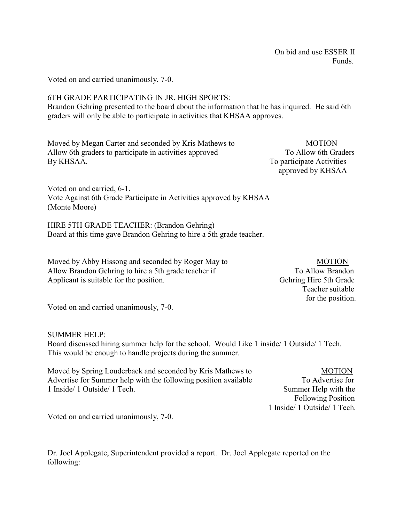On bid and use ESSER II **Funds.** 

Voted on and carried unanimously, 7-0.

# 6TH GRADE PARTICIPATING IN JR. HIGH SPORTS:

Brandon Gehring presented to the board about the information that he has inquired. He said 6th graders will only be able to participate in activities that KHSAA approves.

Moved by Megan Carter and seconded by Kris Mathews to MOTION Allow 6th graders to participate in activities approved To Allow 6th Graders By KHSAA. To participate Activities

approved by KHSAA

Voted on and carried, 6-1. Vote Against 6th Grade Participate in Activities approved by KHSAA (Monte Moore)

HIRE 5TH GRADE TEACHER: (Brandon Gehring) Board at this time gave Brandon Gehring to hire a 5th grade teacher.

Moved by Abby Hissong and seconded by Roger May to MOTION Allow Brandon Gehring to hire a 5th grade teacher if To Allow Brandon Applicant is suitable for the position. Gehring Hire 5th Grade

 Teacher suitable for the position.

Voted on and carried unanimously, 7-0.

#### SUMMER HELP:

Board discussed hiring summer help for the school. Would Like 1 inside/ 1 Outside/ 1 Tech. This would be enough to handle projects during the summer.

Moved by Spring Louderback and seconded by Kris Mathews to MOTION Advertise for Summer help with the following position available To Advertise for 1 Inside/ 1 Outside/ 1 Tech. Summer Help with the

 Following Position 1 Inside/ 1 Outside/ 1 Tech.

Voted on and carried unanimously, 7-0.

Dr. Joel Applegate, Superintendent provided a report. Dr. Joel Applegate reported on the following: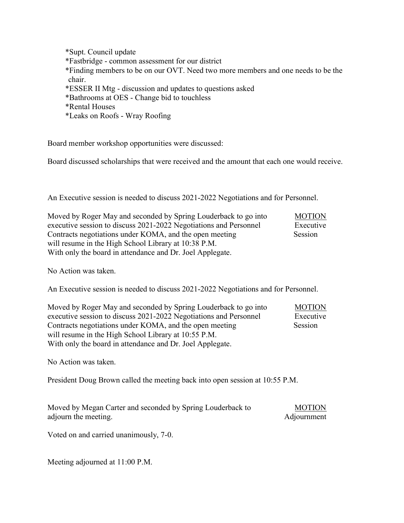\*Supt. Council update \*Fastbridge - common assessment for our district \*Finding members to be on our OVT. Need two more members and one needs to be the chair. \*ESSER II Mtg - discussion and updates to questions asked \*Bathrooms at OES - Change bid to touchless \*Rental Houses \*Leaks on Roofs - Wray Roofing

Board member workshop opportunities were discussed:

Board discussed scholarships that were received and the amount that each one would receive.

An Executive session is needed to discuss 2021-2022 Negotiations and for Personnel.

| Moved by Roger May and seconded by Spring Louderback to go into   | <b>MOTION</b> |
|-------------------------------------------------------------------|---------------|
| executive session to discuss 2021-2022 Negotiations and Personnel | Executive     |
| Contracts negotiations under KOMA, and the open meeting           | Session       |
| will resume in the High School Library at 10:38 P.M.              |               |
| With only the board in attendance and Dr. Joel Applegate.         |               |

No Action was taken.

An Executive session is needed to discuss 2021-2022 Negotiations and for Personnel.

Moved by Roger May and seconded by Spring Louderback to go into MOTION executive session to discuss 2021-2022 Negotiations and Personnel Executive Contracts negotiations under KOMA, and the open meeting Session will resume in the High School Library at 10:55 P.M. With only the board in attendance and Dr. Joel Applegate.

No Action was taken.

President Doug Brown called the meeting back into open session at 10:55 P.M.

| Moved by Megan Carter and seconded by Spring Louderback to | <b>MOTION</b> |
|------------------------------------------------------------|---------------|
| adjourn the meeting.                                       | Adjournment   |

Voted on and carried unanimously, 7-0.

Meeting adjourned at 11:00 P.M.